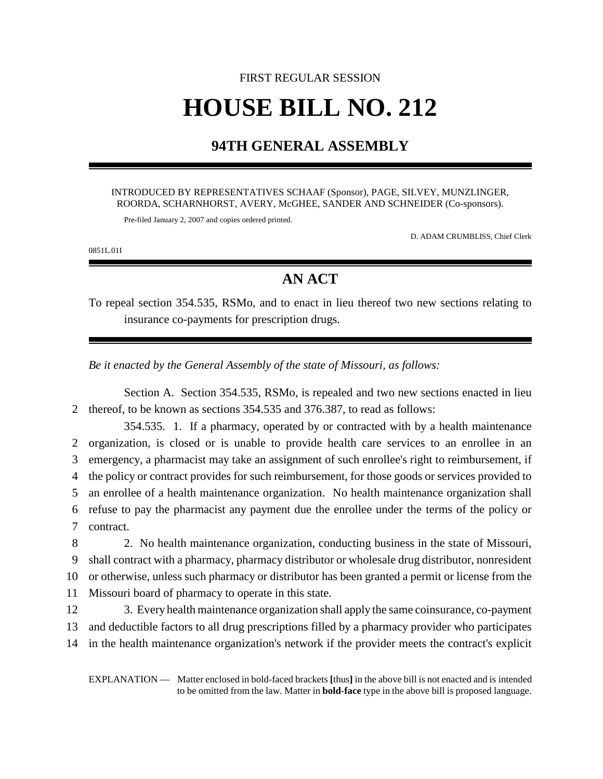# FIRST REGULAR SESSION **HOUSE BILL NO. 212**

### **94TH GENERAL ASSEMBLY**

#### INTRODUCED BY REPRESENTATIVES SCHAAF (Sponsor), PAGE, SILVEY, MUNZLINGER, ROORDA, SCHARNHORST, AVERY, McGHEE, SANDER AND SCHNEIDER (Co-sponsors).

Pre-filed January 2, 2007 and copies ordered printed.

D. ADAM CRUMBLISS, Chief Clerk

0851L.01I

## **AN ACT**

To repeal section 354.535, RSMo, and to enact in lieu thereof two new sections relating to insurance co-payments for prescription drugs.

*Be it enacted by the General Assembly of the state of Missouri, as follows:*

Section A. Section 354.535, RSMo, is repealed and two new sections enacted in lieu 2 thereof, to be known as sections 354.535 and 376.387, to read as follows:

354.535. 1. If a pharmacy, operated by or contracted with by a health maintenance organization, is closed or is unable to provide health care services to an enrollee in an emergency, a pharmacist may take an assignment of such enrollee's right to reimbursement, if the policy or contract provides for such reimbursement, for those goods or services provided to an enrollee of a health maintenance organization. No health maintenance organization shall refuse to pay the pharmacist any payment due the enrollee under the terms of the policy or contract.

 2. No health maintenance organization, conducting business in the state of Missouri, shall contract with a pharmacy, pharmacy distributor or wholesale drug distributor, nonresident or otherwise, unless such pharmacy or distributor has been granted a permit or license from the Missouri board of pharmacy to operate in this state.

12 3. Every health maintenance organization shall apply the same coinsurance, co-payment 13 and deductible factors to all drug prescriptions filled by a pharmacy provider who participates 14 in the health maintenance organization's network if the provider meets the contract's explicit

EXPLANATION — Matter enclosed in bold-faced brackets **[**thus**]** in the above bill is not enacted and is intended to be omitted from the law. Matter in **bold-face** type in the above bill is proposed language.